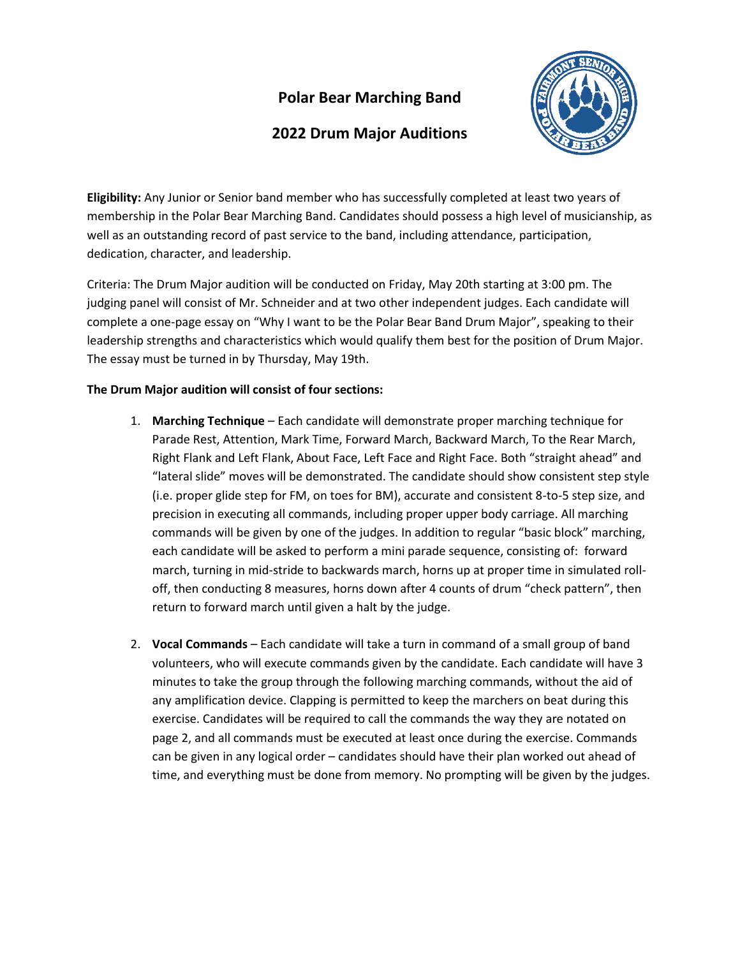## **Polar Bear Marching Band**

## **2022 Drum Major Auditions**



**Eligibility:** Any Junior or Senior band member who has successfully completed at least two years of membership in the Polar Bear Marching Band. Candidates should possess a high level of musicianship, as well as an outstanding record of past service to the band, including attendance, participation, dedication, character, and leadership.

Criteria: The Drum Major audition will be conducted on Friday, May 20th starting at 3:00 pm. The judging panel will consist of Mr. Schneider and at two other independent judges. Each candidate will complete a one-page essay on "Why I want to be the Polar Bear Band Drum Major", speaking to their leadership strengths and characteristics which would qualify them best for the position of Drum Major. The essay must be turned in by Thursday, May 19th.

## **The Drum Major audition will consist of four sections:**

- 1. **Marching Technique** Each candidate will demonstrate proper marching technique for Parade Rest, Attention, Mark Time, Forward March, Backward March, To the Rear March, Right Flank and Left Flank, About Face, Left Face and Right Face. Both "straight ahead" and "lateral slide" moves will be demonstrated. The candidate should show consistent step style (i.e. proper glide step for FM, on toes for BM), accurate and consistent 8-to-5 step size, and precision in executing all commands, including proper upper body carriage. All marching commands will be given by one of the judges. In addition to regular "basic block" marching, each candidate will be asked to perform a mini parade sequence, consisting of: forward march, turning in mid-stride to backwards march, horns up at proper time in simulated rolloff, then conducting 8 measures, horns down after 4 counts of drum "check pattern", then return to forward march until given a halt by the judge.
- 2. **Vocal Commands** Each candidate will take a turn in command of a small group of band volunteers, who will execute commands given by the candidate. Each candidate will have 3 minutes to take the group through the following marching commands, without the aid of any amplification device. Clapping is permitted to keep the marchers on beat during this exercise. Candidates will be required to call the commands the way they are notated on page 2, and all commands must be executed at least once during the exercise. Commands can be given in any logical order – candidates should have their plan worked out ahead of time, and everything must be done from memory. No prompting will be given by the judges.